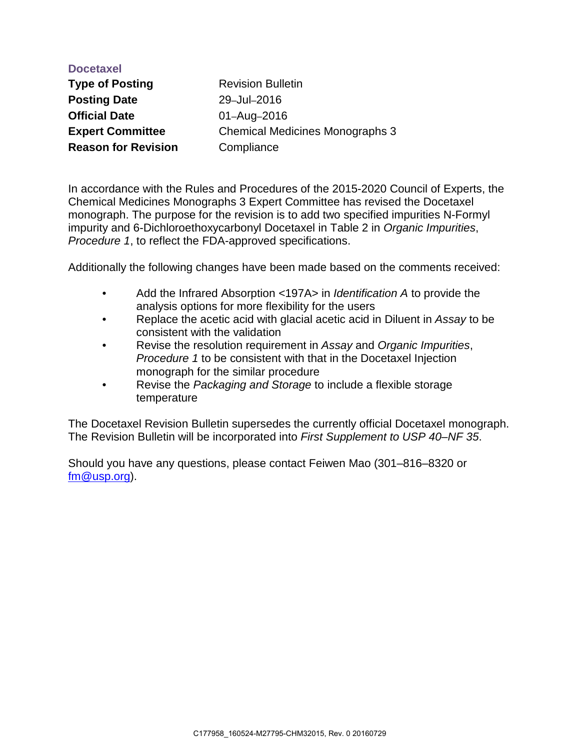| <b>Docetaxel</b>           |                                        |
|----------------------------|----------------------------------------|
| <b>Type of Posting</b>     | <b>Revision Bulletin</b>               |
| <b>Posting Date</b>        | 29-Jul-2016                            |
| <b>Official Date</b>       | 01-Aug-2016                            |
| <b>Expert Committee</b>    | <b>Chemical Medicines Monographs 3</b> |
| <b>Reason for Revision</b> | Compliance                             |
|                            |                                        |

In accordance with the Rules and Procedures of the 2015-2020 Council of Experts, the Chemical Medicines Monographs 3 Expert Committee has revised the Docetaxel monograph. The purpose for the revision is to add two specified impurities N-Formyl impurity and 6-Dichloroethoxycarbonyl Docetaxel in Table 2 in *Organic Impurities*, *Procedure 1*, to reflect the FDA-approved specifications.

Additionally the following changes have been made based on the comments received:

- Add the Infrared Absorption <197A> in *Identification A* to provide the analysis options for more flexibility for the users
- Replace the acetic acid with glacial acetic acid in Diluent in *Assay* to be consistent with the validation
- Revise the resolution requirement in *Assay* and *Organic Impurities*, *Procedure 1* to be consistent with that in the Docetaxel Injection monograph for the similar procedure
- Revise the *Packaging and Storage* to include a flexible storage temperature

The Docetaxel Revision Bulletin supersedes the currently official Docetaxel monograph. The Revision Bulletin will be incorporated into *First Supplement to USP 40–NF 35*.

Should you have any questions, please contact Feiwen Mao (301–816–8320 or [fm@usp.org\)](mailto:fm@usp.org).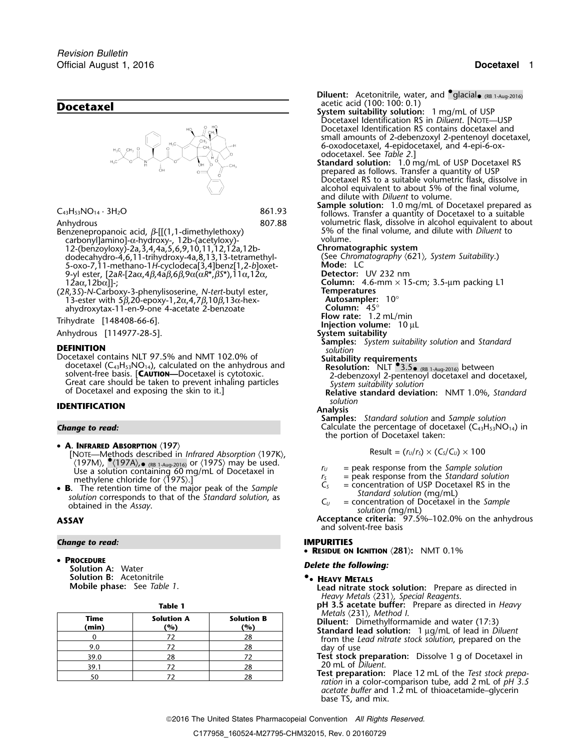

- Benzenepropanoic acid, β-[[(1,1-dimethylethoxy) 5% of the final volume, and dilute with *Diluent* to carbonyl]amino]-α-hydroxy-, 12b-(acetyloxy)- volume. 12-(benzoyloxy)-2a,3,4,4a,5,6,9,10,11,12,12a,12b- **Chromatographic system** dodecahydro-4,6,11-trihydroxy-4a,8,13,13-tetramethyl- (See *Chromatography* 〈621〉*, System Suitability*.) 5-oxo-7,11-methano-1*H*-cyclodeca[3,4]benz[1,2-*b*]oxet- **Mode:** LC 9-yl ester, [2a*R*-[2aα,4β,4aβ,6β,9α(α*R\*,βS\**),11α,12α,<br>12aα,12bα]]-;
- (2*R*,3*S*)-*N*-Carboxy-3-phenylisoserine, *N-tert*-butyl ester, **Temperatures** 1<sup>3</sup>-ester with 5β,20-epoxy-1,2α,4,7β,10β,13α-hex-<br>ahydroxytax-11-en-9-one 4-acetate 2-benzoate **Autoscampler:** 45° ahydroxytax-11-en-9-one 4-acetate 2-benzoate **Column:** 45°

Anhydrous [114977-28-5].

**DEFINITION**<br>Docetaxel contains NLT 97.5% and NMT 102.0% of docetaxel (C<sub>43</sub>H<sub>53</sub>NO<sub>14</sub>), calculated on the anhydrous and Solvent-free basis. [CAUTION—Docetaxel is cytotoxic.<br>
Great care should be taken to prevent inhaling particles<br>
of Docetaxel and exposing the skin to it.]<br>
of Docetaxel and exposing the skin to it.]<br>
Relative standard devi

## *solution* **IDENTIFICATION Analysis**

- A. INFRARED ABSORPTION (197) • **A. INFRARED ABSORPTION**  $\langle 197 \rangle$ <br>[NOTE—Methods described in *Infrared Absorption*  $\langle 197K \rangle$ , Result =  $(r_0/r_s) \times (C_s/C_0) \times 100$ 〈197M〉, <sup>●</sup>〈197A〉,<sub>●</sub> (RB 1-Aug-2016) or 〈197S〉 may be used. *<sup>r</sup><sup>U</sup>* = peak response from the *Sample solution* Use a solution containing 60 mg/mL of Docetaxel in  $r_s$  = peak response from the *Standard solution*<br> **R** The retention time of the major peak of the *Sample*  $C_s$  = concentration of USP Docetaxel RS in the
- **B.** The retention time of the major peak of the Sample<br>solution corresponds to that of the Standard solution, as<br>obtained in the Assay.<br>obtained in the Assay.<br>obtained in the Assay.<br> $C_U$  = concentration of Docetaxel in

## *Change to read:* **IMPURITIES**

• PROCEDURE **ROCEDURE**<br> **Pelete the following:**<br> **Solution A:** Water **Solution B:** Acetonitrile **•**

| × | ٠<br>۰, |  |
|---|---------|--|

| Time<br>(min) | <b>Solution A</b><br>(%) | <b>Solution B</b><br>(%) | Metals (231), Me<br>Diluent: Dimethy<br>Standard lead so |
|---------------|--------------------------|--------------------------|----------------------------------------------------------|
|               |                          | 28                       | from the Lead nit                                        |
| 9.0           | 72                       | 28                       | day of use                                               |
| 39.0          | 28                       |                          | Test stock prepar                                        |
| 39.1          | 72                       | 28                       | 20 mL of Diluent.                                        |
| 50            |                          | 28                       | Test preparation:<br>ration in a color.                  |

**Diluent:** Acetonitrile, water, and  $\text{\textdegree{glacial}}_{\bullet\text{ (RB 1-Aug-2016)}}$ Docetaxel Identification RS in *Diluent*. [NOTE—USP Docetaxel Identification RS contains docetaxel and small amounts of 2-debenzoxyl 2-pentenoyl docetaxel, 6-oxodocetaxel, 4-epidocetaxel, and 4-epi-6-oxodocetaxel. See *Table 2*.] **Standard solution:** 1.0 mg/mL of USP Docetaxel RS prepared as follows. Transfer a quantity of USP Docetaxel RS to a suitable volumetric flask, dissolve in alcohol equivalent to about 5% of the final volume, and dilute with *Diluent* to volume. C<sub>43</sub>H<sub>53</sub>NO<sub>14</sub> · 3H<sub>2</sub>O<br>
861.93 **Sample solution:** 1.0 mg/mL of Docetaxel prepared as<br>
807.88 volumetric flask, dissolve in alcohol equivalent to about Anhydrous **Anhydrous** 807.88 volumetric flask, dissolve in alcohol equivalent to about 807.88 volumetric flask, dissolve in alcohol equivalent to about 8enzenepropanoic acid,  $\beta$ -[[(1,1-dimethylethoxy) 5% of the final vol Column: 4.6-mm × 15-cm; 3.5-μm packing L1<br>Temperatures **Frihydrate** [148408-66-6].<br>Anhydrous [114977-28-5]. **Injection volume:** 10 µL **Anhydrous** [114977-28-5]. **Samples:** *System suitability solution* and *Standard* Suitability requirements<br>
Resolution:  $NLT$  3.5 (RB 1-Aug-2016) between<br>
2-debenzoxyl 2-penterioryl docetaxel and docetaxel,

**Samples:** *Standard solution* and *Sample solution* **Change to read:** Calculate the percentage of docetaxel (C<sub>43</sub>H<sub>53</sub>NO<sub>14</sub>) in the portion of Docetaxel taken:

$$
Result = (r_U/r_S) \times (C_S/C_U) \times 100
$$

- 
- 
- 
- **ASSAY**<br>**ACCEPTANCE CRITERIA:** Solution (mg/mL)<br>**ACCEPTANCE Criteria:** 97.5%–102.0% on the anhydrous

and solvent-free basis

• **RESIDUE ON IGNITION** 〈**281**〉**:** NMT 0.1%

## **.**• **HEAVY METALS**

**Mobile phase:** See *Table 1*. **Lead nitrate stock solution:** Prepare as directed in *Heavy Metals* 〈231〉*, Special Reagents*.

**Table 1 pH 3.5 acetate buffer:** Prepare as directed in *Heavy*

- 
- *Metals*  $\langle 231 \rangle$ , *Method I.*<br>**Diluent:** Dimethylformamide and water (17:3)<br>**Standard lead solution:** 1 μg/mL of lead in *Diluent* from the *Lead nitrate stock solution*, prepared on the day of use
- 39.0 <sup>28</sup> <sup>72</sup> **Test stock preparation:** Dissolve 1 g of Docetaxel in

**Test preparation:** Place 12 mL of the *Test stock prepa- ration* in a color-comparison tube, add 2 mL of *pH 3.5 acetate buffer* and 1.2 mL of thioacetamide–glycerin base TS, and mix.

2016 The United States Pharmacopeial Convention *All Rights Reserved.*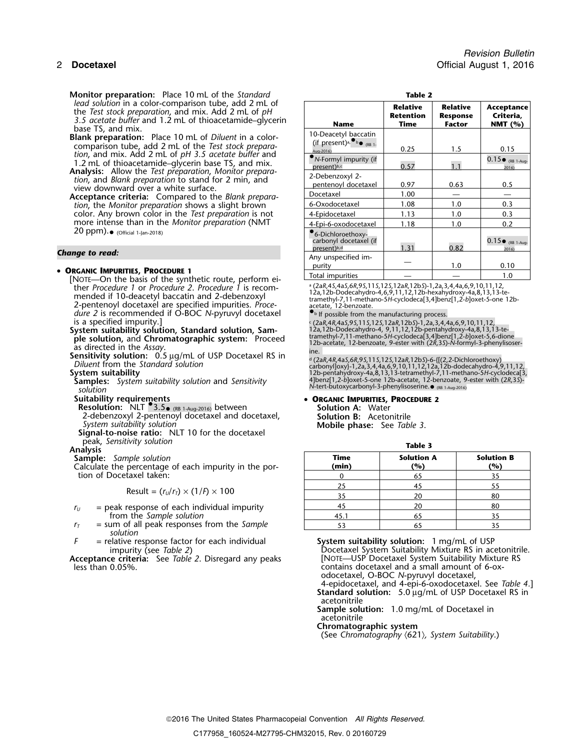**Monitor preparation:** Place 10 mL of the *Standard lead solution* in a color-comparison tube, add 2 mL of

- **Analysis:** Allow the *Test preparation, Monitor preparation,* and *Blank preparation* to stand for 2 min, and view downward over a white surface.
- Acceptance criteria: Compared to the *Blank preparation*, the *Monitor preparation* shows a slight brown color. Any brown color in the *Test preparation* is not more intense than in the *Monitor preparation* (NMT  $20 \text{ ppm}$ ).  $\bullet$  (Official 1-Jan-2018)  $\bullet$

## • ORGANIC IMPURITIES, PROCEDURE 1

**[NOTE—On the basis of the synthetic route, perform either** *Procedure* 1 or *Procedure* 2. *Procedure* 1 is recomther *Procedure 1* or *Procedure 2*. *Procedure 1* is recom-<br>
mended if 10-deacetyl baccatin and 2-debenzoxyl<br>
2-pentenoyl docetaxel are specified impurities. *Proce-*<br>
2-pentenoyl docetaxel are specified impurities. *Pro dure 2* is recommended if O-BOC *N*-pyruvyl docetaxel is a specified impurity.] is a specified impurity.] <sup>c</sup>. (2a*R*,4*R*,4a*S*,9*S*,11*S*,12*S*,12a*R*,12b*S*)-1,2a,3,4,4a,6,9,10,11,12,

System suitability solution, Standard solution, Sam-<br>**ple solution, and Chromatographic system:** Proceed

- 
- 

2-debenzoxyl 2-pentenoyl docetaxel and docetaxel, **Solution B:** Acetonitrile *System suitability solution* **Mobile phase:** See *Table 3*. **Signal-to-noise ratio:** NLT 10 for the docetaxel

peak, *Sensitivity solution* **Table 3 Analysis**

**Sample:** Sample solution

Calculate the percentage of each impurity in the por- **(min) (%) (%)** tion of Docetaxel taken:

$$
Result = (r_U/r_T) \times (1/F) \times 100
$$

- $r_U$  = peak response of each individual impurity from the *Sample* solution
- $r<sub>T</sub>$  = sum of all peak responses from the *Sample solution*
- *<sup>F</sup>* = relative response factor for each individual **System suitability solution:**<sup>1</sup> mg/mL of USP

| ٠ |  |
|---|--|
|---|--|

| monitor preparation. These remission the standard                                                                                                                       |                                                                                                                 |                                             |                                              |                                      |
|-------------------------------------------------------------------------------------------------------------------------------------------------------------------------|-----------------------------------------------------------------------------------------------------------------|---------------------------------------------|----------------------------------------------|--------------------------------------|
| lead solution in a color-comparison tube, add 2 mL of<br>the Test stock preparation, and mix. Add 2 mL of pH<br>3.5 acetate buffer and 1.2 mL of thioacetamide-glycerin | <b>Name</b>                                                                                                     | <b>Relative</b><br><b>Retention</b><br>Time | <b>Relative</b><br><b>Response</b><br>Factor | Acceptance<br>Criteria,<br>NMT $(%)$ |
| base TS, and mix.<br>Blank preparation: Place 10 mL of Diluent in a color-<br>comparison tube, add 2 mL of the Test stock prepara-                                      | 10-Deacetyl baccatin<br>(if present) <sup>a, <math>\bullet</math></sup> $\bullet$ $\bullet$ (RB 1-<br>Aug-2016) | 0.25                                        | 1.5                                          | 0.15                                 |
| tion, and mix. Add 2 mL of pH 3.5 acetate buffer and<br>1.2 mL of thioacetamide-glycerin base TS, and mix.                                                              | N-Formyl impurity (if<br>present)b,c                                                                            | 0.57                                        |                                              | $0.15\bullet$ (RB 1-Aug-<br>2016)    |
| Analysis: Allow the Test preparation, Monitor prepara-<br>tion, and Blank preparation to stand for 2 min, and<br>view downward over a white surface.                    | 2-Debenzoxyl 2-<br>pentenoyl docetaxel                                                                          | 0.97                                        | 0.63                                         | 0.5                                  |
| Acceptance criteria: Compared to the Blank prepara-                                                                                                                     | Docetaxel                                                                                                       | 1.00                                        |                                              |                                      |
| tion, the Monitor preparation shows a slight brown<br>color. Any brown color in the Test preparation is not<br>more intense than in the Monitor preparation (NMT        | 6-Oxodocetaxel                                                                                                  | 1.08                                        | 1.0                                          | 0.3                                  |
|                                                                                                                                                                         | 4-Epidocetaxel                                                                                                  | 1.13                                        | 1.0                                          | 0.3                                  |
|                                                                                                                                                                         | 4-Epi-6-oxodocetaxel                                                                                            | 1.18                                        | 1.0                                          | 0.2                                  |
| 20 ppm). (Official 1-Jan-2018)                                                                                                                                          | 6-Dichloroethoxy-<br>carbonyl docetaxel (if<br>present) <sup>b,d</sup>                                          | 1.31                                        | 0.82                                         | $0.15\bullet$ (RB 1-Aug-<br>2016)    |
| Change to read:                                                                                                                                                         | Any unspecified im-                                                                                             |                                             |                                              |                                      |
|                                                                                                                                                                         | purity                                                                                                          |                                             | 1.0                                          | 0.10                                 |
| • Organic Impurities, Procedure 1<br>[Nort On the basis of the synthetic route perform of                                                                               | Total impurities                                                                                                |                                             |                                              | 1.0                                  |

<sup>a</sup> (2aR, 4S, 4aS, 6R, 9S, 11S, 12S, 12aR, 12bS)-1, 2a, 3, 4, 4a, 6, 9, 10, 11, 12,<br>12a, 12b-Dodecahydro-4, 6, 9, 11, 12, 12b-hexahydroxy-4a, 8, 13, 13-te-

**ple solution, and Chromatographic system:** Proceed<br>as directed in the Assay.<br>**Sensitivity solution:** 0.5  $\mu$ g/mL of USP Docetaxel RS in<br> $\frac{12b\text{-}acetate}{12\text{-}a\text{}}$ ,  $\frac{12b\text{-}acetate}{12\text{-}b\text{}}$ ,  $\frac{12b\text{-}acetate}{12\text{-}b\text{$ 

. (2a*R*,4*R*,4a*S*,6*R*,9*S*,11*S*,12*S*,12a*R*,12b*S*)-6-{[(2,2-Dichloroethoxy) *Diluent* from the *Standard solution* carbonyl]oxy}-1,2a,3,4,4a,6,9,10,11,12,12a,12b-dodecahydro-4,9,11,12, **System suitability** 12b-pentahydroxy-4a,8,13,13-tetramethyl-7,11-methano-5*H*-cyclodeca[3, **Samples:** 4]benz[1,2-*b*]oxet-5-one 12b-acetate, 12-benzoate, 9-ester with (2*R*,3*S*)- *System suitability solution* and *Sensitivity <sup>N</sup>*-tert-butoxycarbonyl-3-phenylisoserine.• (RB 1-Aug-2016) *solution*

# **Suitability requirements** • **ORGANIC IMPURITIES, PROCEDURE <sup>2</sup> Resolution:** NLT •.3.5• (RB 1-Aug-2016) between **Solution A:** Water

| nple solution<br>percentage of each impurity in the por- | Time<br>(min) | <b>Solution A</b><br>(%) | <b>Solution B</b><br>(%) |
|----------------------------------------------------------|---------------|--------------------------|--------------------------|
| taxel taken:                                             |               | 65                       | 35                       |
|                                                          | 25            | 45                       | 55                       |
| Result = $(r_U/r_T) \times (1/F) \times 100$             | 35            | 20                       | 80                       |
| esponse of each individual impurity                      | 45            | 20                       | 80                       |
| the Sample solution                                      | 45.1          | 65                       | 35                       |
| of all peak responses from the Sample                    |               |                          |                          |

Docetaxel System Suitability Mixture RS in acetonitrile. **Acceptance criteria:** See *Table 2*. Disregard any peaks [NOTE—USP Docetaxel System Suitability Mixture RS<br>less than 0.05%.<br>contains docetaxel and a small amount of 6-oxcontains docetaxel and a small amount of 6-oxodocetaxel, O-BOC *N*-pyruvyl docetaxel, 4-epidocetaxel, and 4-epi-6-oxodocetaxel. See *Table 4.*]

**Standard solution:** 5.0 µg/mL of USP Docetaxel RS in acetonitrile

**Sample solution:** 1.0 mg/mL of Docetaxel in acetonitrile

**Chromatographic system**

(See *Chromatography* 〈621〉*, System Suitability*.)